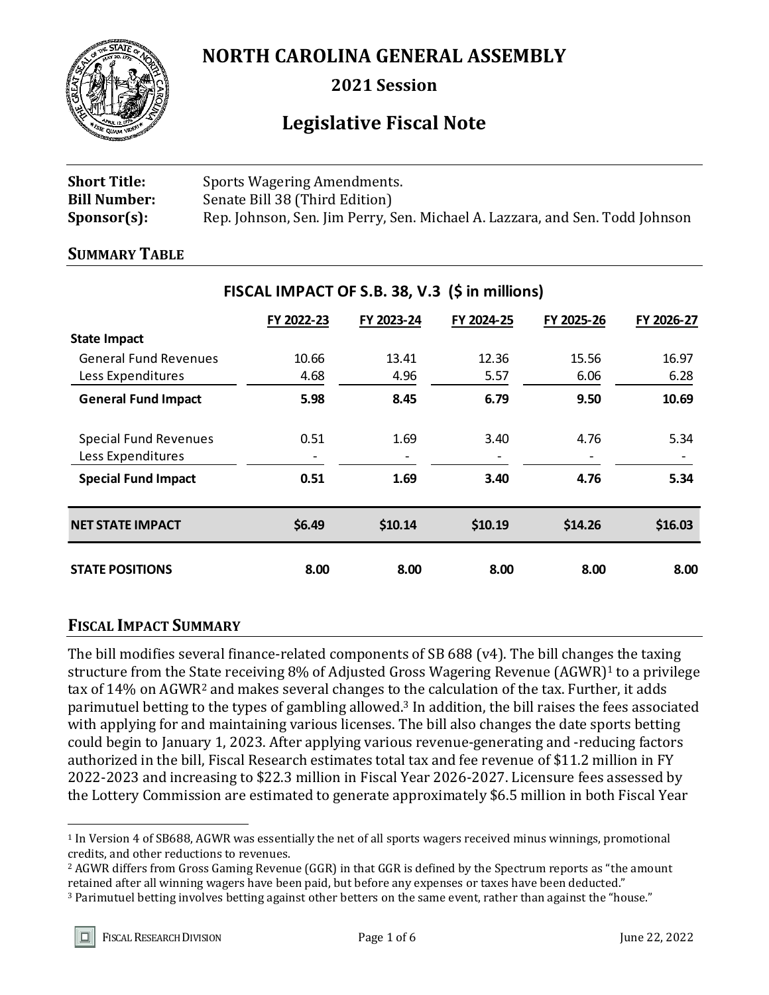

**NORTH CAROLINA GENERAL ASSEMBLY**

**2021 Session**

# **Legislative Fiscal Note**

| <b>Short Title:</b> | Sports Wagering Amendments.                                                  |
|---------------------|------------------------------------------------------------------------------|
| <b>Bill Number:</b> | Senate Bill 38 (Third Edition)                                               |
| $Sponsor(s)$ :      | Rep. Johnson, Sen. Jim Perry, Sen. Michael A. Lazzara, and Sen. Todd Johnson |

#### **SUMMARY TABLE**

|                                                   | FY 2022-23 | FY 2023-24 | FY 2024-25 | FY 2025-26 | FY 2026-27 |
|---------------------------------------------------|------------|------------|------------|------------|------------|
| <b>State Impact</b>                               |            |            |            |            |            |
| <b>General Fund Revenues</b>                      | 10.66      | 13.41      | 12.36      | 15.56      | 16.97      |
| Less Expenditures                                 | 4.68       | 4.96       | 5.57       | 6.06       | 6.28       |
| <b>General Fund Impact</b>                        | 5.98       | 8.45       | 6.79       | 9.50       | 10.69      |
| <b>Special Fund Revenues</b><br>Less Expenditures | 0.51       | 1.69       | 3.40       | 4.76       | 5.34       |
| <b>Special Fund Impact</b>                        | 0.51       | 1.69       | 3.40       | 4.76       | 5.34       |
| <b>NET STATE IMPACT</b>                           | \$6.49     | \$10.14    | \$10.19    | \$14.26    | \$16.03    |
| <b>STATE POSITIONS</b>                            | 8.00       | 8.00       | 8.00       | 8.00       | 8.00       |

# **FISCAL IMPACT OF S.B. 38, V.3 (\$ in millions)**

# **FISCAL IMPACT SUMMARY**

The bill modifies several finance-related components of SB 688 (v4). The bill changes the taxing structure from the State receiving 8% of Adjusted Gross Wagering Revenue (AGWR)<sup>1</sup> to a privilege tax of 14% on AGWR<sup>2</sup> and makes several changes to the calculation of the tax. Further, it adds parimutuel betting to the types of gambling allowed.<sup>3</sup> In addition, the bill raises the fees associated with applying for and maintaining various licenses. The bill also changes the date sports betting could begin to January 1, 2023. After applying various revenue-generating and -reducing factors authorized in the bill, Fiscal Research estimates total tax and fee revenue of \$11.2 million in FY 2022-2023 and increasing to \$22.3 million in Fiscal Year 2026-2027. Licensure fees assessed by the Lottery Commission are estimated to generate approximately \$6.5 million in both Fiscal Year

 $\overline{a}$ 

<sup>1</sup> In Version 4 of SB688, AGWR was essentially the net of all sports wagers received minus winnings, promotional credits, and other reductions to revenues.

<sup>2</sup> AGWR differs from Gross Gaming Revenue (GGR) in that GGR is defined by the Spectrum reports as "the amount retained after all winning wagers have been paid, but before any expenses or taxes have been deducted."

<sup>3</sup> Parimutuel betting involves betting against other betters on the same event, rather than against the "house."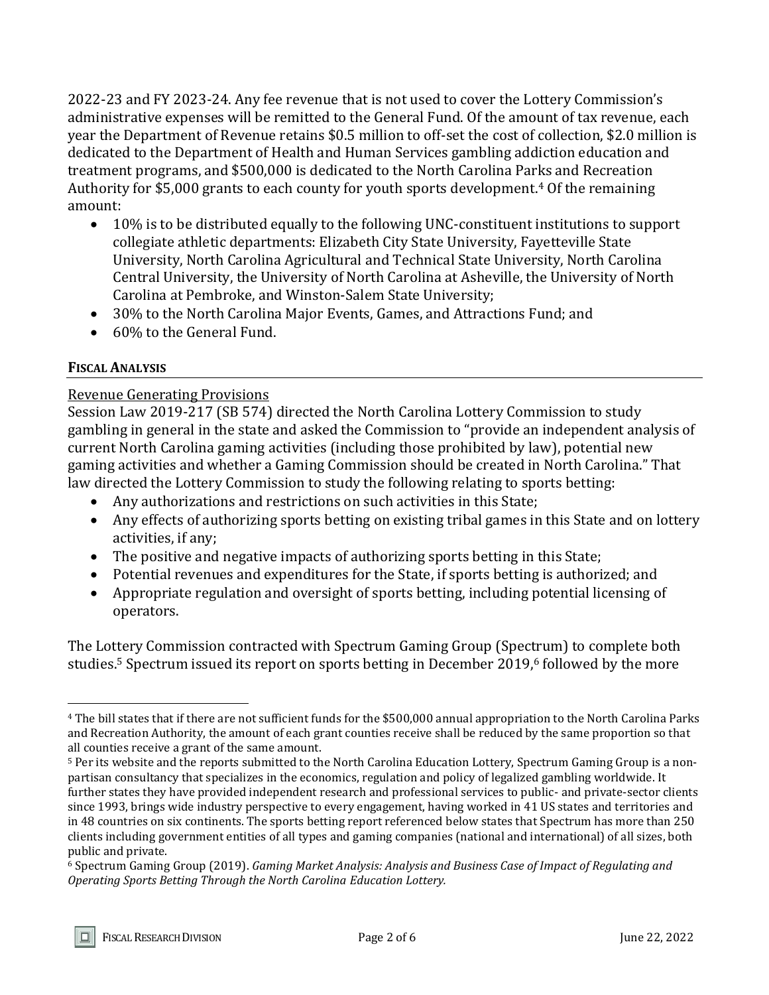2022-23 and FY 2023-24. Any fee revenue that is not used to cover the Lottery Commission's administrative expenses will be remitted to the General Fund. Of the amount of tax revenue, each year the Department of Revenue retains \$0.5 million to off-set the cost of collection, \$2.0 million is dedicated to the Department of Health and Human Services gambling addiction education and treatment programs, and \$500,000 is dedicated to the North Carolina Parks and Recreation Authority for \$5,000 grants to each county for youth sports development.<sup>4</sup> Of the remaining amount:

- 10% is to be distributed equally to the following UNC-constituent institutions to support collegiate athletic departments: Elizabeth City State University, Fayetteville State University, North Carolina Agricultural and Technical State University, North Carolina Central University, the University of North Carolina at Asheville, the University of North Carolina at Pembroke, and Winston-Salem State University;
- 30% to the North Carolina Major Events, Games, and Attractions Fund; and
- 60% to the General Fund.

## **FISCAL ANALYSIS**

 $\overline{a}$ 

### Revenue Generating Provisions

Session Law 2019-217 (SB 574) directed the North Carolina Lottery Commission to study gambling in general in the state and asked the Commission to "provide an independent analysis of current North Carolina gaming activities (including those prohibited by law), potential new gaming activities and whether a Gaming Commission should be created in North Carolina." That law directed the Lottery Commission to study the following relating to sports betting:

- Any authorizations and restrictions on such activities in this State;
- Any effects of authorizing sports betting on existing tribal games in this State and on lottery activities, if any;
- The positive and negative impacts of authorizing sports betting in this State;
- Potential revenues and expenditures for the State, if sports betting is authorized; and
- Appropriate regulation and oversight of sports betting, including potential licensing of operators.

The Lottery Commission contracted with Spectrum Gaming Group (Spectrum) to complete both studies.<sup>5</sup> Spectrum issued its report on sports betting in December 2019,<sup>6</sup> followed by the more

<sup>4</sup> The bill states that if there are not sufficient funds for the \$500,000 annual appropriation to the North Carolina Parks and Recreation Authority, the amount of each grant counties receive shall be reduced by the same proportion so that all counties receive a grant of the same amount.

<sup>5</sup> Per its website and the reports submitted to the North Carolina Education Lottery, Spectrum Gaming Group is a nonpartisan consultancy that specializes in the economics, regulation and policy of legalized gambling worldwide. It further states they have provided independent research and professional services to public- and private-sector clients since 1993, brings wide industry perspective to every engagement, having worked in 41 US states and territories and in 48 countries on six continents. The sports betting report referenced below states that Spectrum has more than 250 clients including government entities of all types and gaming companies (national and international) of all sizes, both public and private.

<sup>6</sup> Spectrum Gaming Group (2019). *Gaming Market Analysis: Analysis and Business Case of Impact of Regulating and Operating Sports Betting Through the North Carolina Education Lottery.*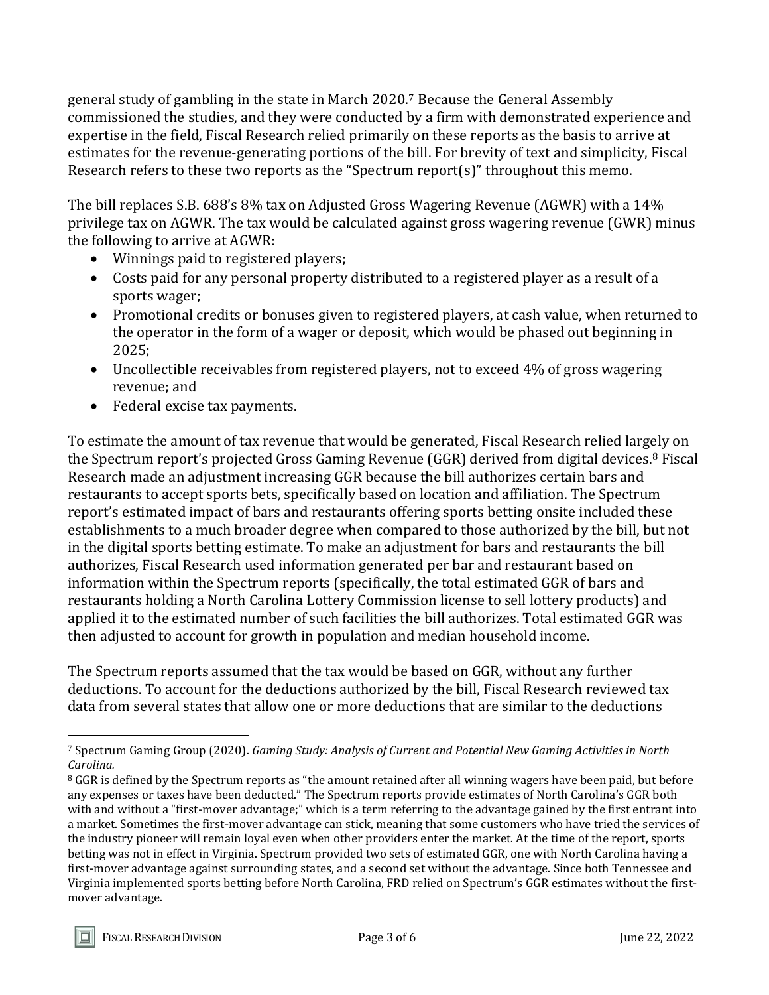general study of gambling in the state in March 2020.<sup>7</sup> Because the General Assembly commissioned the studies, and they were conducted by a firm with demonstrated experience and expertise in the field, Fiscal Research relied primarily on these reports as the basis to arrive at estimates for the revenue-generating portions of the bill. For brevity of text and simplicity, Fiscal Research refers to these two reports as the "Spectrum report(s)" throughout this memo.

The bill replaces S.B. 688's 8% tax on Adjusted Gross Wagering Revenue (AGWR) with a 14% privilege tax on AGWR. The tax would be calculated against gross wagering revenue (GWR) minus the following to arrive at AGWR:

- Winnings paid to registered players;
- Costs paid for any personal property distributed to a registered player as a result of a sports wager;
- Promotional credits or bonuses given to registered players, at cash value, when returned to the operator in the form of a wager or deposit, which would be phased out beginning in 2025;
- Uncollectible receivables from registered players, not to exceed 4% of gross wagering revenue; and
- Federal excise tax payments.

To estimate the amount of tax revenue that would be generated, Fiscal Research relied largely on the Spectrum report's projected Gross Gaming Revenue (GGR) derived from digital devices.<sup>8</sup> Fiscal Research made an adjustment increasing GGR because the bill authorizes certain bars and restaurants to accept sports bets, specifically based on location and affiliation. The Spectrum report's estimated impact of bars and restaurants offering sports betting onsite included these establishments to a much broader degree when compared to those authorized by the bill, but not in the digital sports betting estimate. To make an adjustment for bars and restaurants the bill authorizes, Fiscal Research used information generated per bar and restaurant based on information within the Spectrum reports (specifically, the total estimated GGR of bars and restaurants holding a North Carolina Lottery Commission license to sell lottery products) and applied it to the estimated number of such facilities the bill authorizes. Total estimated GGR was then adjusted to account for growth in population and median household income.

The Spectrum reports assumed that the tax would be based on GGR, without any further deductions. To account for the deductions authorized by the bill, Fiscal Research reviewed tax data from several states that allow one or more deductions that are similar to the deductions

 $\overline{a}$ 

<sup>7</sup> Spectrum Gaming Group (2020). *Gaming Study: Analysis of Current and Potential New Gaming Activities in North Carolina.*

<sup>&</sup>lt;sup>8</sup> GGR is defined by the Spectrum reports as "the amount retained after all winning wagers have been paid, but before any expenses or taxes have been deducted." The Spectrum reports provide estimates of North Carolina's GGR both with and without a "first-mover advantage;" which is a term referring to the advantage gained by the first entrant into a market. Sometimes the first-mover advantage can stick, meaning that some customers who have tried the services of the industry pioneer will remain loyal even when other providers enter the market. At the time of the report, sports betting was not in effect in Virginia. Spectrum provided two sets of estimated GGR, one with North Carolina having a first-mover advantage against surrounding states, and a second set without the advantage. Since both Tennessee and Virginia implemented sports betting before North Carolina, FRD relied on Spectrum's GGR estimates without the firstmover advantage.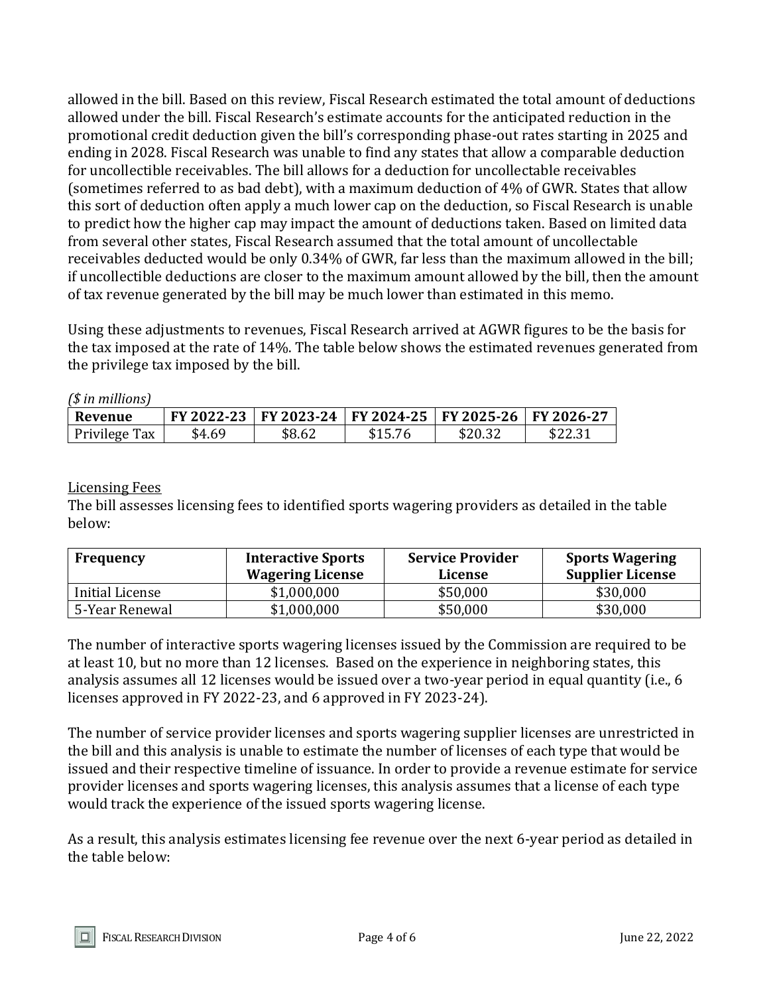allowed in the bill. Based on this review, Fiscal Research estimated the total amount of deductions allowed under the bill. Fiscal Research's estimate accounts for the anticipated reduction in the promotional credit deduction given the bill's corresponding phase-out rates starting in 2025 and ending in 2028. Fiscal Research was unable to find any states that allow a comparable deduction for uncollectible receivables. The bill allows for a deduction for uncollectable receivables (sometimes referred to as bad debt), with a maximum deduction of 4% of GWR. States that allow this sort of deduction often apply a much lower cap on the deduction, so Fiscal Research is unable to predict how the higher cap may impact the amount of deductions taken. Based on limited data from several other states, Fiscal Research assumed that the total amount of uncollectable receivables deducted would be only 0.34% of GWR, far less than the maximum allowed in the bill; if uncollectible deductions are closer to the maximum amount allowed by the bill, then the amount of tax revenue generated by the bill may be much lower than estimated in this memo.

Using these adjustments to revenues, Fiscal Research arrived at AGWR figures to be the basis for the tax imposed at the rate of 14%. The table below shows the estimated revenues generated from the privilege tax imposed by the bill.

*(\$ in millions)*

| Revenue       |        | FY 2022-23 FY 2023-24 FY 2024-25 FY 2025-26 FY 2026-27 |         |         |         |
|---------------|--------|--------------------------------------------------------|---------|---------|---------|
| Privilege Tax | \$4.69 | \$8.62                                                 | \$15.76 | \$20.32 | \$22.31 |

#### Licensing Fees

The bill assesses licensing fees to identified sports wagering providers as detailed in the table below:

| Frequency       | <b>Interactive Sports</b><br><b>Wagering License</b> | <b>Service Provider</b><br>License | <b>Sports Wagering</b><br><b>Supplier License</b> |
|-----------------|------------------------------------------------------|------------------------------------|---------------------------------------------------|
| Initial License | \$1,000,000                                          | \$50,000                           | \$30,000                                          |
| 5-Year Renewal  | \$1,000,000                                          | \$50,000                           | \$30,000                                          |

The number of interactive sports wagering licenses issued by the Commission are required to be at least 10, but no more than 12 licenses. Based on the experience in neighboring states, this analysis assumes all 12 licenses would be issued over a two-year period in equal quantity (i.e., 6 licenses approved in FY 2022-23, and 6 approved in FY 2023-24).

The number of service provider licenses and sports wagering supplier licenses are unrestricted in the bill and this analysis is unable to estimate the number of licenses of each type that would be issued and their respective timeline of issuance. In order to provide a revenue estimate for service provider licenses and sports wagering licenses, this analysis assumes that a license of each type would track the experience of the issued sports wagering license.

As a result, this analysis estimates licensing fee revenue over the next 6-year period as detailed in the table below: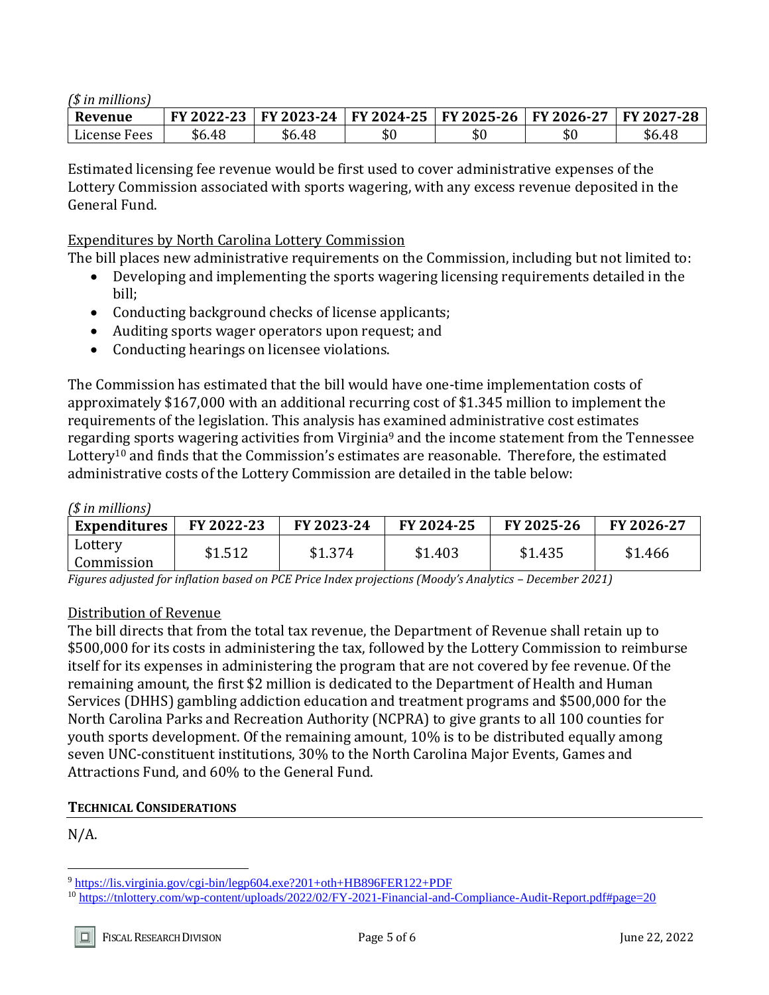#### *(\$ in millions)*

| Revenue         | ່າາ<br><b>FY 2022-</b> | FY 2023-24 | FY 2024-25   FY 2025-26 |     | $2026 - 27$<br>FV. | FY 2027-28 |
|-----------------|------------------------|------------|-------------------------|-----|--------------------|------------|
| License<br>Fees | \$6.48                 | \$6.48     | υU                      | \$0 | ـ م<br>.JU         | \$6.48     |

Estimated licensing fee revenue would be first used to cover administrative expenses of the Lottery Commission associated with sports wagering, with any excess revenue deposited in the General Fund.

#### Expenditures by North Carolina Lottery Commission

The bill places new administrative requirements on the Commission, including but not limited to:

- Developing and implementing the sports wagering licensing requirements detailed in the bill;
- Conducting background checks of license applicants;
- Auditing sports wager operators upon request; and
- Conducting hearings on licensee violations.

The Commission has estimated that the bill would have one-time implementation costs of approximately \$167,000 with an additional recurring cost of \$1.345 million to implement the requirements of the legislation. This analysis has examined administrative cost estimates regarding sports wagering activities from Virginia<sup>9</sup> and the income statement from the Tennessee Lottery<sup>10</sup> and finds that the Commission's estimates are reasonable. Therefore, the estimated administrative costs of the Lottery Commission are detailed in the table below:

#### *(\$ in millions)*

| <b>Expenditures</b>   | FY 2022-23 | FY 2023-24 | FY 2024-25 | FY 2025-26 | FY 2026-27 |
|-----------------------|------------|------------|------------|------------|------------|
| Lottery<br>Commission | \$1.512    | \$1.374    | \$1.403    | \$1.435    | \$1.466    |

*Figures adjusted for inflation based on PCE Price Index projections (Moody's Analytics – December 2021)*

#### Distribution of Revenue

The bill directs that from the total tax revenue, the Department of Revenue shall retain up to \$500,000 for its costs in administering the tax, followed by the Lottery Commission to reimburse itself for its expenses in administering the program that are not covered by fee revenue. Of the remaining amount, the first \$2 million is dedicated to the Department of Health and Human Services (DHHS) gambling addiction education and treatment programs and \$500,000 for the North Carolina Parks and Recreation Authority (NCPRA) to give grants to all 100 counties for youth sports development. Of the remaining amount, 10% is to be distributed equally among seven UNC-constituent institutions, 30% to the North Carolina Major Events, Games and Attractions Fund, and 60% to the General Fund.

### **TECHNICAL CONSIDERATIONS**

 $N/A$ .

 $\overline{a}$ 

<sup>9</sup> <https://lis.virginia.gov/cgi-bin/legp604.exe?201+oth+HB896FER122+PDF>

<sup>10</sup> <https://tnlottery.com/wp-content/uploads/2022/02/FY-2021-Financial-and-Compliance-Audit-Report.pdf#page=20>